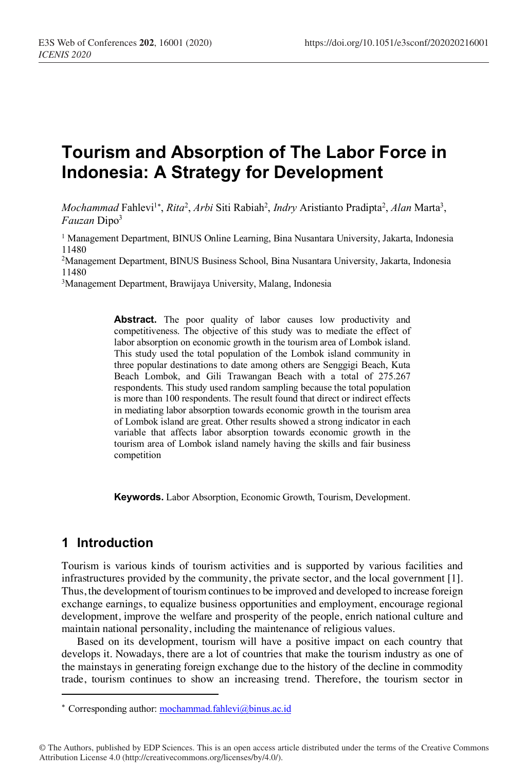# **Tourism and Absorption of The Labor Force in Indonesia: A Strategy for Development**

*Mochammad* Fahlevi<sup>1\*</sup>, *Rita<sup>2</sup>, Arbi* Siti Rabiah<sup>2</sup>, *Indry* Aristianto Pradipta<sup>2</sup>, *Alan* Marta<sup>3</sup>, *Fauzan* Dipo3

<sup>1</sup> Management Department, BINUS Online Learning, Bina Nusantara University, Jakarta, Indonesia 11480

2Management Department, BINUS Business School, Bina Nusantara University, Jakarta, Indonesia 11480

3Management Department, Brawijaya University, Malang, Indonesia

Abstract. The poor quality of labor causes low productivity and competitiveness. The objective of this study was to mediate the effect of labor absorption on economic growth in the tourism area of Lombok island. This study used the total population of the Lombok island community in three popular destinations to date among others are Senggigi Beach, Kuta Beach Lombok, and Gili Trawangan Beach with a total of 275.267 respondents. This study used random sampling because the total population is more than 100 respondents. The result found that direct or indirect effects in mediating labor absorption towards economic growth in the tourism area of Lombok island are great. Other results showed a strong indicator in each variable that affects labor absorption towards economic growth in the tourism area of Lombok island namely having the skills and fair business competition

**Keywords.** Labor Absorption, Economic Growth, Tourism, Development.

## **1 Introduction**

Tourism is various kinds of tourism activities and is supported by various facilities and infrastructures provided by the community, the private sector, and the local government [1]. Thus, the development of tourism continues to be improved and developed to increase foreign exchange earnings, to equalize business opportunities and employment, encourage regional development, improve the welfare and prosperity of the people, enrich national culture and maintain national personality, including the maintenance of religious values.

Based on its development, tourism will have a positive impact on each country that develops it. Nowadays, there are a lot of countries that make the tourism industry as one of the mainstays in generating foreign exchange due to the history of the decline in commodity trade, tourism continues to show an increasing trend. Therefore, the tourism sector in

<sup>\*</sup> Corresponding author: mochammad.fahlevi@binus.ac.id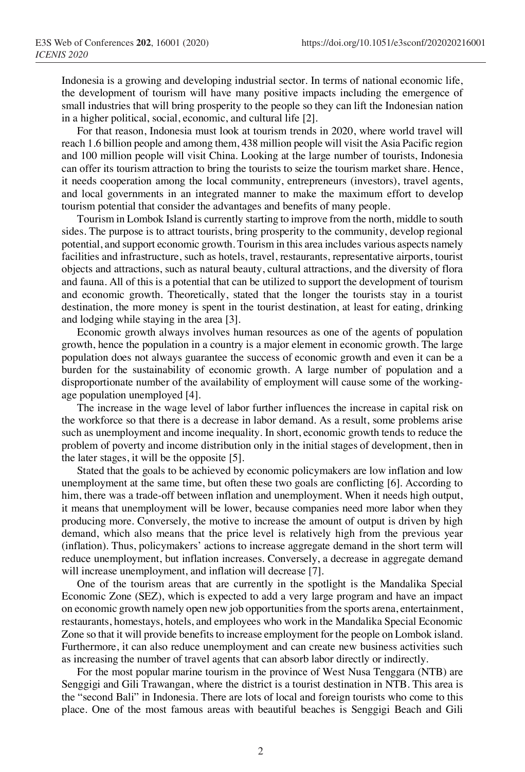Indonesia is a growing and developing industrial sector. In terms of national economic life, the development of tourism will have many positive impacts including the emergence of small industries that will bring prosperity to the people so they can lift the Indonesian nation in a higher political, social, economic, and cultural life [2].

For that reason, Indonesia must look at tourism trends in 2020, where world travel will reach 1.6 billion people and among them, 438 million people will visit the Asia Pacific region and 100 million people will visit China. Looking at the large number of tourists, Indonesia can offer its tourism attraction to bring the tourists to seize the tourism market share. Hence, it needs cooperation among the local community, entrepreneurs (investors), travel agents, and local governments in an integrated manner to make the maximum effort to develop tourism potential that consider the advantages and benefits of many people.

Tourism in Lombok Island is currently starting to improve from the north, middle to south sides. The purpose is to attract tourists, bring prosperity to the community, develop regional potential, and support economic growth. Tourism in this area includes various aspects namely facilities and infrastructure, such as hotels, travel, restaurants, representative airports, tourist objects and attractions, such as natural beauty, cultural attractions, and the diversity of flora and fauna. All of this is a potential that can be utilized to support the development of tourism and economic growth. Theoretically, stated that the longer the tourists stay in a tourist destination, the more money is spent in the tourist destination, at least for eating, drinking and lodging while staying in the area [3].

Economic growth always involves human resources as one of the agents of population growth, hence the population in a country is a major element in economic growth. The large population does not always guarantee the success of economic growth and even it can be a burden for the sustainability of economic growth. A large number of population and a disproportionate number of the availability of employment will cause some of the workingage population unemployed [4].

The increase in the wage level of labor further influences the increase in capital risk on the workforce so that there is a decrease in labor demand. As a result, some problems arise such as unemployment and income inequality. In short, economic growth tends to reduce the problem of poverty and income distribution only in the initial stages of development, then in the later stages, it will be the opposite [5].

Stated that the goals to be achieved by economic policymakers are low inflation and low unemployment at the same time, but often these two goals are conflicting [6]. According to him, there was a trade-off between inflation and unemployment. When it needs high output, it means that unemployment will be lower, because companies need more labor when they producing more. Conversely, the motive to increase the amount of output is driven by high demand, which also means that the price level is relatively high from the previous year (inflation). Thus, policymakers' actions to increase aggregate demand in the short term will reduce unemployment, but inflation increases. Conversely, a decrease in aggregate demand will increase unemployment, and inflation will decrease [7].

One of the tourism areas that are currently in the spotlight is the Mandalika Special Economic Zone (SEZ), which is expected to add a very large program and have an impact on economic growth namely open new job opportunities from the sports arena, entertainment, restaurants, homestays, hotels, and employees who work in the Mandalika Special Economic Zone so that it will provide benefits to increase employment for the people on Lombok island. Furthermore, it can also reduce unemployment and can create new business activities such as increasing the number of travel agents that can absorb labor directly or indirectly.

For the most popular marine tourism in the province of West Nusa Tenggara (NTB) are Senggigi and Gili Trawangan, where the district is a tourist destination in NTB. This area is the "second Bali" in Indonesia. There are lots of local and foreign tourists who come to this place. One of the most famous areas with beautiful beaches is Senggigi Beach and Gili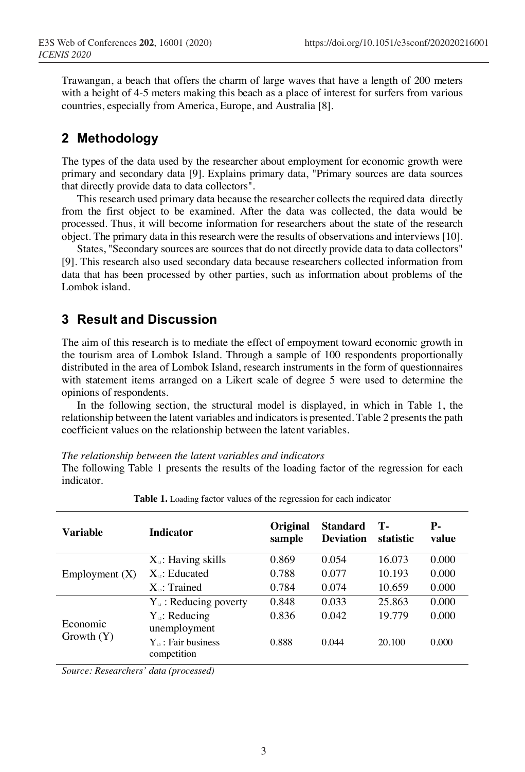Trawangan, a beach that offers the charm of large waves that have a length of 200 meters with a height of 4-5 meters making this beach as a place of interest for surfers from various countries, especially from America, Europe, and Australia [8].

# **2 Methodology**

The types of the data used by the researcher about employment for economic growth were primary and secondary data [9]. Explains primary data, "Primary sources are data sources that directly provide data to data collectors".

This research used primary data because the researcher collects the required data directly from the first object to be examined. After the data was collected, the data would be processed. Thus, it will become information for researchers about the state of the research object. The primary data in this research were the results of observations and interviews [10].

States, "Secondary sources are sources that do not directly provide data to data collectors" [9]. This research also used secondary data because researchers collected information from data that has been processed by other parties, such as information about problems of the Lombok island.

# **3 Result and Discussion**

The aim of this research is to mediate the effect of empoyment toward economic growth in the tourism area of Lombok Island. Through a sample of 100 respondents proportionally distributed in the area of Lombok Island, research instruments in the form of questionnaires with statement items arranged on a Likert scale of degree 5 were used to determine the opinions of respondents.

In the following section, the structural model is displayed, in which in Table 1, the relationship between the latent variables and indicators is presented. Table 2 presents the path coefficient values on the relationship between the latent variables.

*The relationship between the latent variables and indicators* 

The following Table 1 presents the results of the loading factor of the regression for each indicator.

| <b>Variable</b>          | <b>Indicator</b>                                | Original<br>sample | <b>Standard</b><br><b>Deviation</b> | Т-<br>statistic | Р-<br>value |
|--------------------------|-------------------------------------------------|--------------------|-------------------------------------|-----------------|-------------|
| Employment $(X)$         | $X_{11}$ : Having skills                        | 0.869              | 0.054                               | 16.073          | 0.000       |
|                          | $X_{\cdot\cdot}$ : Educated                     | 0.788              | 0.077                               | 10.193          | 0.000       |
|                          | $X$ : Trained                                   | 0.784              | 0.074                               | 10.659          | 0.000       |
| Economic<br>Growth $(Y)$ | $Y_{11}$ : Reducing poverty                     | 0.848              | 0.033                               | 25.863          | 0.000       |
|                          | $Y_{12}$ : Reducing<br>unemployment             | 0.836              | 0.042                               | 19.779          | 0.000       |
|                          | $Y_{\cdot\cdot}$ : Fair business<br>competition | 0.888              | 0.044                               | 20.100          | 0.000       |

**Table 1.** Loading factor values of the regression for each indicator

*Source: Researchers' data (processed)*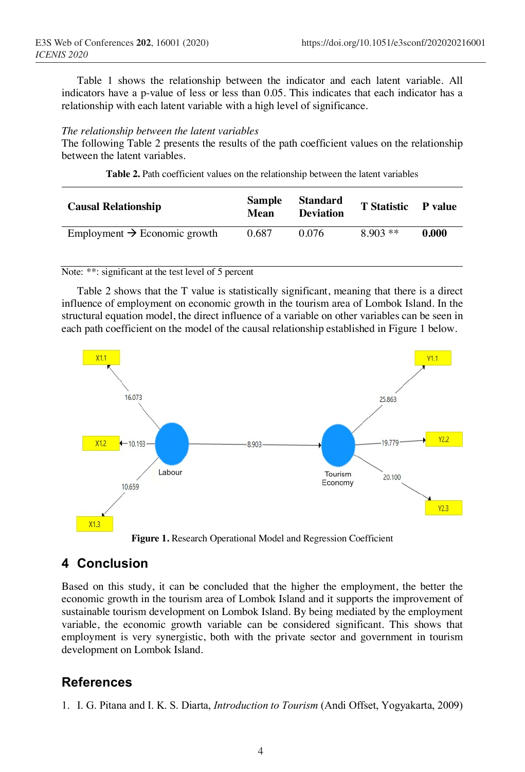Table 1 shows the relationship between the indicator and each latent variable. All indicators have a p-value of less or less than 0.05. This indicates that each indicator has a relationship with each latent variable with a high level of significance.

#### *The relationship between the latent variables*

The following Table 2 presents the results of the path coefficient values on the relationship between the latent variables.

| <b>Causal Relationship</b>               | Sample<br>Mean | <b>Standard</b><br><b>Deviation</b> | T Statistic P value |       |
|------------------------------------------|----------------|-------------------------------------|---------------------|-------|
| Employment $\rightarrow$ Economic growth | 0.687          | 0.076                               | $8903**$            | 0.000 |

| <b>Table 2.</b> Path coefficient values on the relationship between the latent variables |  |
|------------------------------------------------------------------------------------------|--|
|------------------------------------------------------------------------------------------|--|

Note: \*\*: significant at the test level of 5 percent

Table 2 shows that the T value is statistically significant, meaning that there is a direct influence of employment on economic growth in the tourism area of Lombok Island. In the structural equation model, the direct influence of a variable on other variables can be seen in each path coefficient on the model of the causal relationship established in Figure 1 below.



**Figure 1.** Research Operational Model and Regression Coefficient

## **4 Conclusion**

Based on this study, it can be concluded that the higher the employment, the better the economic growth in the tourism area of Lombok Island and it supports the improvement of sustainable tourism development on Lombok Island. By being mediated by the employment variable, the economic growth variable can be considered significant. This shows that employment is very synergistic, both with the private sector and government in tourism development on Lombok Island.

## **References**

1. I. G. Pitana and I. K. S. Diarta, *Introduction to Tourism* (Andi Offset, Yogyakarta, 2009)